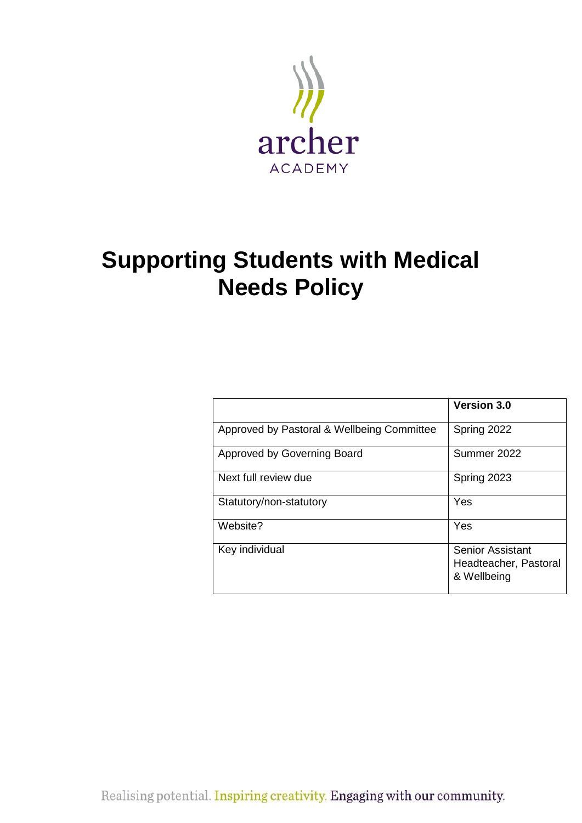

## **Supporting Students with Medical Needs Policy**

|                                            | <b>Version 3.0</b>                                              |
|--------------------------------------------|-----------------------------------------------------------------|
| Approved by Pastoral & Wellbeing Committee | Spring 2022                                                     |
| Approved by Governing Board                | Summer 2022                                                     |
| Next full review due                       | Spring 2023                                                     |
| Statutory/non-statutory                    | Yes                                                             |
| Website?                                   | Yes                                                             |
| Key individual                             | <b>Senior Assistant</b><br>Headteacher, Pastoral<br>& Wellbeing |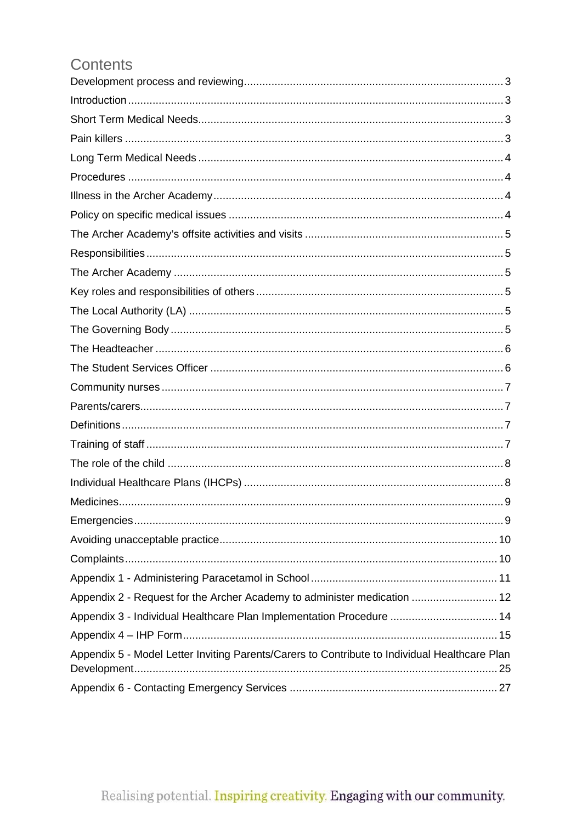## Contents

| Appendix 2 - Request for the Archer Academy to administer medication  12                      |
|-----------------------------------------------------------------------------------------------|
| Appendix 3 - Individual Healthcare Plan Implementation Procedure  14                          |
|                                                                                               |
| Appendix 5 - Model Letter Inviting Parents/Carers to Contribute to Individual Healthcare Plan |
|                                                                                               |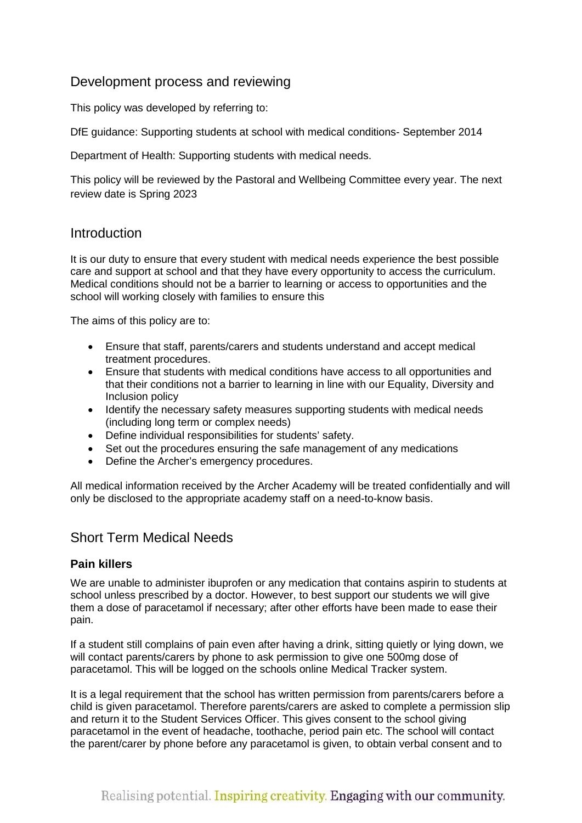#### <span id="page-2-0"></span>Development process and reviewing

This policy was developed by referring to:

DfE guidance: Supporting students at school with medical conditions- September 2014

Department of Health: Supporting students with medical needs.

This policy will be reviewed by the Pastoral and Wellbeing Committee every year. The next review date is Spring 2023

#### <span id="page-2-1"></span>Introduction

It is our duty to ensure that every student with medical needs experience the best possible care and support at school and that they have every opportunity to access the curriculum. Medical conditions should not be a barrier to learning or access to opportunities and the school will working closely with families to ensure this

The aims of this policy are to:

- Ensure that staff, parents/carers and students understand and accept medical treatment procedures.
- Ensure that students with medical conditions have access to all opportunities and that their conditions not a barrier to learning in line with our Equality, Diversity and Inclusion policy
- Identify the necessary safety measures supporting students with medical needs (including long term or complex needs)
- Define individual responsibilities for students' safety.
- Set out the procedures ensuring the safe management of any medications
- Define the Archer's emergency procedures.

All medical information received by the Archer Academy will be treated confidentially and will only be disclosed to the appropriate academy staff on a need-to-know basis.

#### <span id="page-2-2"></span>Short Term Medical Needs

#### <span id="page-2-3"></span>**Pain killers**

We are unable to administer ibuprofen or any medication that contains aspirin to students at school unless prescribed by a doctor. However, to best support our students we will give them a dose of paracetamol if necessary; after other efforts have been made to ease their pain.

If a student still complains of pain even after having a drink, sitting quietly or lying down, we will contact parents/carers by phone to ask permission to give one 500mg dose of paracetamol. This will be logged on the schools online Medical Tracker system.

It is a legal requirement that the school has written permission from parents/carers before a child is given paracetamol. Therefore parents/carers are asked to complete a permission slip and return it to the Student Services Officer. This gives consent to the school giving paracetamol in the event of headache, toothache, period pain etc. The school will contact the parent/carer by phone before any paracetamol is given, to obtain verbal consent and to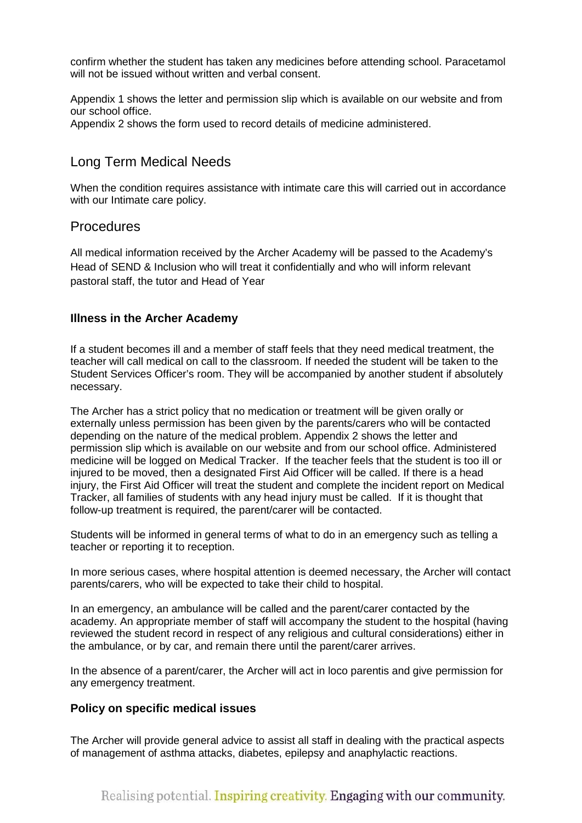confirm whether the student has taken any medicines before attending school. Paracetamol will not be issued without written and verbal consent.

Appendix 1 shows the letter and permission slip which is available on our website and from our school office.

Appendix 2 shows the form used to record details of medicine administered.

#### <span id="page-3-0"></span>Long Term Medical Needs

When the condition requires assistance with intimate care this will carried out in accordance with our Intimate care policy.

#### <span id="page-3-1"></span>**Procedures**

All medical information received by the Archer Academy will be passed to the Academy's Head of SEND & Inclusion who will treat it confidentially and who will inform relevant pastoral staff, the tutor and Head of Year

#### <span id="page-3-2"></span>**Illness in the Archer Academy**

If a student becomes ill and a member of staff feels that they need medical treatment, the teacher will call medical on call to the classroom. If needed the student will be taken to the Student Services Officer's room. They will be accompanied by another student if absolutely necessary.

The Archer has a strict policy that no medication or treatment will be given orally or externally unless permission has been given by the parents/carers who will be contacted depending on the nature of the medical problem. Appendix 2 shows the letter and permission slip which is available on our website and from our school office. Administered medicine will be logged on Medical Tracker. If the teacher feels that the student is too ill or injured to be moved, then a designated First Aid Officer will be called. If there is a head injury, the First Aid Officer will treat the student and complete the incident report on Medical Tracker, all families of students with any head injury must be called. If it is thought that follow-up treatment is required, the parent/carer will be contacted.

Students will be informed in general terms of what to do in an emergency such as telling a teacher or reporting it to reception.

In more serious cases, where hospital attention is deemed necessary, the Archer will contact parents/carers, who will be expected to take their child to hospital.

In an emergency, an ambulance will be called and the parent/carer contacted by the academy. An appropriate member of staff will accompany the student to the hospital (having reviewed the student record in respect of any religious and cultural considerations) either in the ambulance, or by car, and remain there until the parent/carer arrives.

In the absence of a parent/carer, the Archer will act in loco parentis and give permission for any emergency treatment.

#### <span id="page-3-3"></span>**Policy on specific medical issues**

The Archer will provide general advice to assist all staff in dealing with the practical aspects of management of asthma attacks, diabetes, epilepsy and anaphylactic reactions.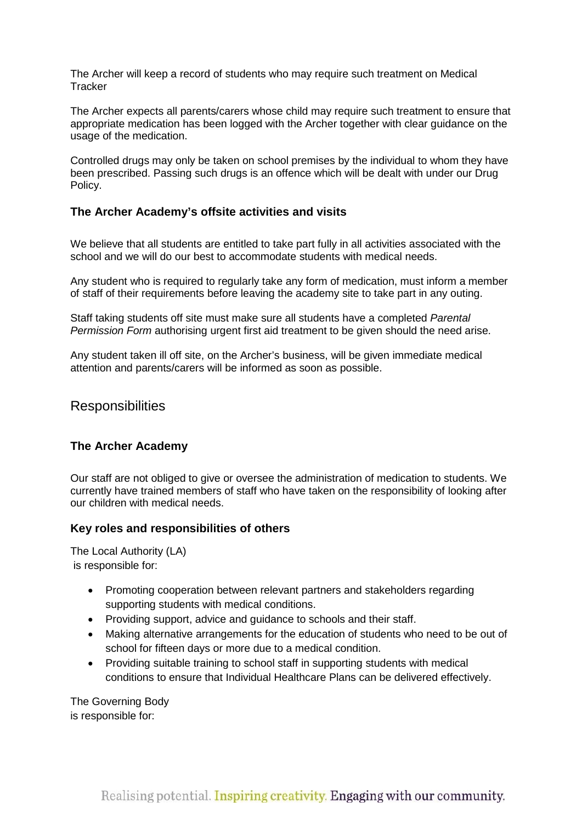The Archer will keep a record of students who may require such treatment on Medical **Tracker** 

The Archer expects all parents/carers whose child may require such treatment to ensure that appropriate medication has been logged with the Archer together with clear guidance on the usage of the medication.

Controlled drugs may only be taken on school premises by the individual to whom they have been prescribed. Passing such drugs is an offence which will be dealt with under our Drug Policy.

#### <span id="page-4-0"></span>**The Archer Academy's offsite activities and visits**

We believe that all students are entitled to take part fully in all activities associated with the school and we will do our best to accommodate students with medical needs.

Any student who is required to regularly take any form of medication, must inform a member of staff of their requirements before leaving the academy site to take part in any outing.

Staff taking students off site must make sure all students have a completed *Parental Permission Form* authorising urgent first aid treatment to be given should the need arise.

Any student taken ill off site, on the Archer's business, will be given immediate medical attention and parents/carers will be informed as soon as possible.

#### <span id="page-4-1"></span>**Responsibilities**

#### <span id="page-4-2"></span>**The Archer Academy**

Our staff are not obliged to give or oversee the administration of medication to students. We currently have trained members of staff who have taken on the responsibility of looking after our children with medical needs.

#### <span id="page-4-3"></span>**Key roles and responsibilities of others**

<span id="page-4-4"></span>The Local Authority (LA) is responsible for:

- Promoting cooperation between relevant partners and stakeholders regarding supporting students with medical conditions.
- Providing support, advice and guidance to schools and their staff.
- Making alternative arrangements for the education of students who need to be out of school for fifteen days or more due to a medical condition.
- Providing suitable training to school staff in supporting students with medical conditions to ensure that Individual Healthcare Plans can be delivered effectively.

<span id="page-4-5"></span>The Governing Body is responsible for: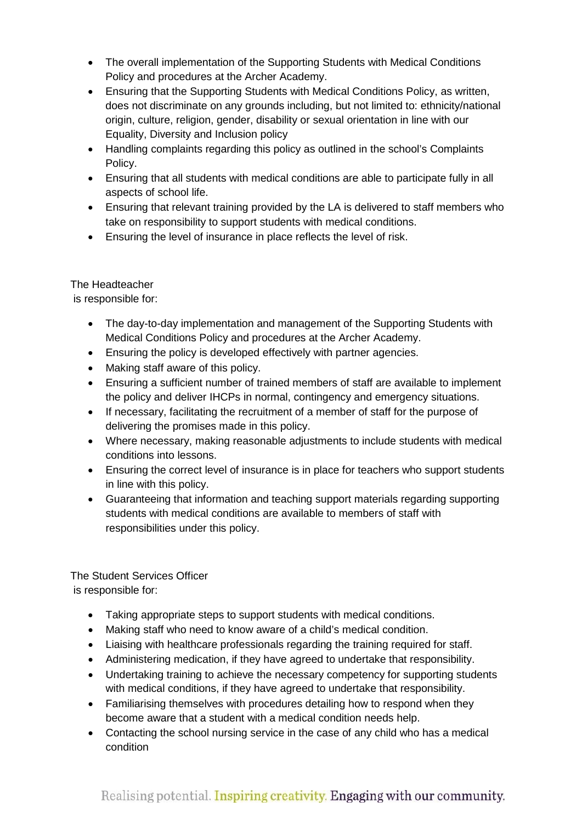- The overall implementation of the Supporting Students with Medical Conditions Policy and procedures at the Archer Academy.
- Ensuring that the Supporting Students with Medical Conditions Policy, as written, does not discriminate on any grounds including, but not limited to: ethnicity/national origin, culture, religion, gender, disability or sexual orientation in line with our Equality, Diversity and Inclusion policy
- Handling complaints regarding this policy as outlined in the school's Complaints Policy.
- Ensuring that all students with medical conditions are able to participate fully in all aspects of school life.
- Ensuring that relevant training provided by the LA is delivered to staff members who take on responsibility to support students with medical conditions.
- Ensuring the level of insurance in place reflects the level of risk.

<span id="page-5-0"></span>The Headteacher

is responsible for:

- The day-to-day implementation and management of the Supporting Students with Medical Conditions Policy and procedures at the Archer Academy.
- Ensuring the policy is developed effectively with partner agencies.
- Making staff aware of this policy.
- Ensuring a sufficient number of trained members of staff are available to implement the policy and deliver IHCPs in normal, contingency and emergency situations.
- If necessary, facilitating the recruitment of a member of staff for the purpose of delivering the promises made in this policy.
- Where necessary, making reasonable adjustments to include students with medical conditions into lessons.
- Ensuring the correct level of insurance is in place for teachers who support students in line with this policy.
- Guaranteeing that information and teaching support materials regarding supporting students with medical conditions are available to members of staff with responsibilities under this policy.

<span id="page-5-1"></span>The Student Services Officer is responsible for:

- Taking appropriate steps to support students with medical conditions.
- Making staff who need to know aware of a child's medical condition.
- Liaising with healthcare professionals regarding the training required for staff.
- Administering medication, if they have agreed to undertake that responsibility.
- Undertaking training to achieve the necessary competency for supporting students with medical conditions, if they have agreed to undertake that responsibility.
- Familiarising themselves with procedures detailing how to respond when they become aware that a student with a medical condition needs help.
- Contacting the school nursing service in the case of any child who has a medical condition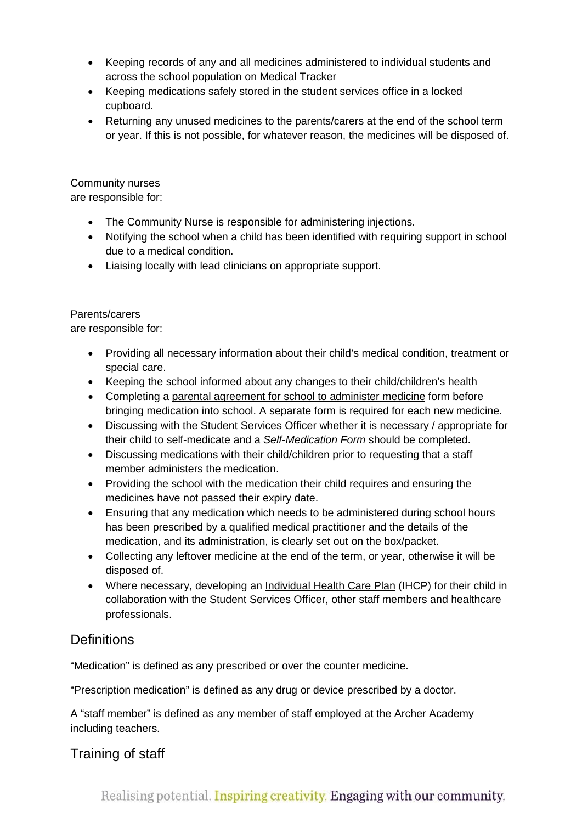- Keeping records of any and all medicines administered to [individual students](#page-10-1) and across the school population on Medical Tracker
- Keeping medications safely stored in the student services office in a locked cupboard.
- Returning any unused medicines to the parents/carers at the end of the school term or year. If this is not possible, for whatever reason, the medicines will be disposed of.

<span id="page-6-0"></span>Community nurses

are responsible for:

- The Community Nurse is responsible for administering injections.
- Notifying the school when a child has been identified with requiring support in school due to a medical condition.
- Liaising locally with lead clinicians on appropriate support.

#### <span id="page-6-1"></span>Parents/carers

are responsible for:

- Providing all necessary information about their child's medical condition, treatment or special care.
- Keeping the school informed about any changes to their child/children's health
- Completing a [parental agreement for school to administer medicine](#page-13-1) form before bringing medication into school. A separate form is required for each new medicine.
- Discussing with the Student Services Officer whether it is necessary / appropriate for their child to self-medicate and a *Self-Medication Form* should be completed.
- Discussing medications with their child/children prior to requesting that a staff member administers the medication.
- Providing the school with the medication their child requires and ensuring the medicines have not passed their expiry date.
- Ensuring that any medication which needs to be administered during school hours has been prescribed by a qualified medical practitioner and the details of the medication, and its administration, is clearly set out on the box/packet.
- Collecting any leftover medicine at the end of the term, or year, otherwise it will be disposed of.
- Where necessary, developing an Individual Health Care Plan (IHCP) for their child in collaboration with the Student Services Officer, other staff members and healthcare professionals.

## <span id="page-6-2"></span>**Definitions**

"Medication" is defined as any prescribed or over the counter medicine.

"Prescription medication" is defined as any drug or device prescribed by a doctor.

A "staff member" is defined as any member of staff employed at the Archer Academy including teachers.

## <span id="page-6-3"></span>Training of staff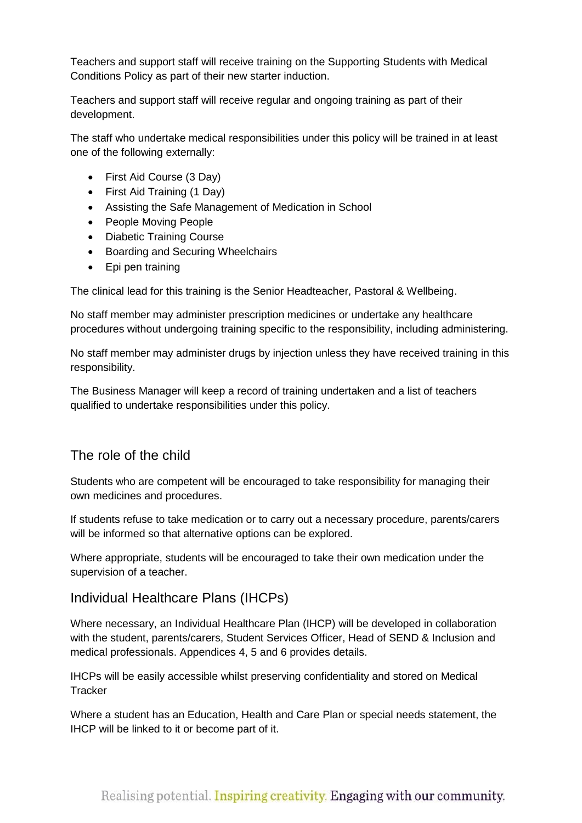Teachers and support staff will receive training on the Supporting Students with Medical Conditions Policy as part of their new starter induction.

Teachers and support staff will receive regular and ongoing training as part of their development.

The staff who undertake medical responsibilities under this policy will be trained in at least one of the following externally:

- First Aid Course (3 Day)
- First Aid Training (1 Day)
- Assisting the Safe Management of Medication in School
- People Moving People
- Diabetic Training Course
- Boarding and Securing Wheelchairs
- Epi pen training

The clinical lead for this training is the Senior Headteacher, Pastoral & Wellbeing.

No staff member may administer prescription medicines or undertake any healthcare procedures without undergoing training specific to the responsibility, including administering.

No staff member may administer drugs by injection unless they have received training in this responsibility.

The Business Manager will keep a record of training undertaken and a list of teachers qualified to undertake responsibilities under this policy.

#### <span id="page-7-0"></span>The role of the child

Students who are competent will be encouraged to take responsibility for managing their own medicines and procedures.

If students refuse to take medication or to carry out a necessary procedure, parents/carers will be informed so that alternative options can be explored.

Where appropriate, students will be encouraged to take their own medication under the supervision of a teacher.

#### <span id="page-7-1"></span>Individual Healthcare Plans (IHCPs)

Where necessary, an Individual Healthcare Plan (IHCP) will be developed in collaboration with the student, parents/carers, Student Services Officer, Head of SEND & Inclusion and medical professionals. Appendices 4, 5 and 6 provides details.

IHCPs will be easily accessible whilst preserving confidentiality and stored on Medical **Tracker** 

Where a student has an Education, Health and Care Plan or special needs statement, the IHCP will be linked to it or become part of it.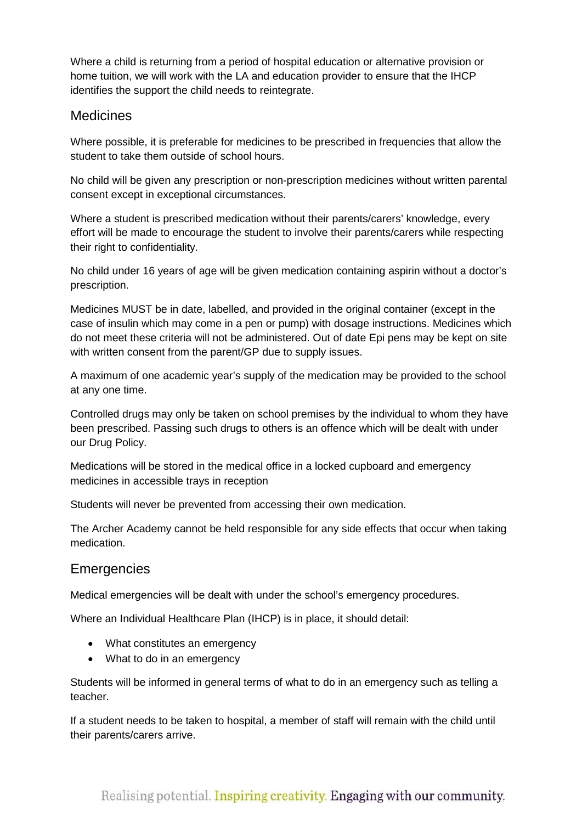Where a child is returning from a period of hospital education or alternative provision or home tuition, we will work with the LA and education provider to ensure that the IHCP identifies the support the child needs to reintegrate.

#### <span id="page-8-0"></span>Medicines

Where possible, it is preferable for medicines to be prescribed in frequencies that allow the student to take them outside of school hours.

No child will be given any prescription or non-prescription medicines without written parental consent except in exceptional circumstances.

Where a student is prescribed medication without their parents/carers' knowledge, every effort will be made to encourage the student to involve their parents/carers while respecting their right to confidentiality.

No child under 16 years of age will be given medication containing aspirin without a doctor's prescription.

Medicines MUST be in date, labelled, and provided in the original container (except in the case of insulin which may come in a pen or pump) with dosage instructions. Medicines which do not meet these criteria will not be administered. Out of date Epi pens may be kept on site with written consent from the parent/GP due to supply issues.

A maximum of one academic year's supply of the medication may be provided to the school at any one time.

Controlled drugs may only be taken on school premises by the individual to whom they have been prescribed. Passing such drugs to others is an offence which will be dealt with under our Drug Policy.

Medications will be stored in the medical office in a locked cupboard and emergency medicines in accessible trays in reception

Students will never be prevented from accessing their own medication.

The Archer Academy cannot be held responsible for any side effects that occur when taking medication.

#### <span id="page-8-1"></span>**Emergencies**

Medical emergencies will be dealt with under the school's emergency procedures.

Where an Individual Healthcare Plan (IHCP) is in place, it should detail:

- What constitutes an emergency
- What to do in an emergency

Students will be informed in general terms of what to do in an emergency such as telling a teacher.

If a student needs to be taken to hospital, a member of staff will remain with the child until their parents/carers arrive.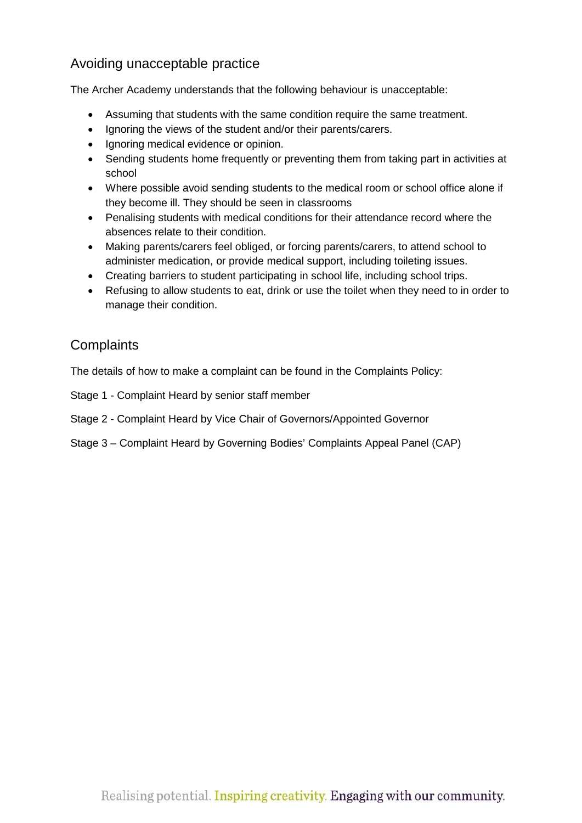## <span id="page-9-0"></span>Avoiding unacceptable practice

The Archer Academy understands that the following behaviour is unacceptable:

- Assuming that students with the same condition require the same treatment.
- Ignoring the views of the student and/or their parents/carers.
- Ignoring medical evidence or opinion.
- Sending students home frequently or preventing them from taking part in activities at school
- Where possible avoid sending students to the medical room or school office alone if they become ill. They should be seen in classrooms
- Penalising students with medical conditions for their attendance record where the absences relate to their condition.
- Making parents/carers feel obliged, or forcing parents/carers, to attend school to administer medication, or provide medical support, including toileting issues.
- Creating barriers to student participating in school life, including school trips.
- Refusing to allow students to eat, drink or use the toilet when they need to in order to manage their condition.

#### <span id="page-9-1"></span>**Complaints**

The details of how to make a complaint can be found in the Complaints Policy:

Stage 1 - Complaint Heard by senior staff member

- Stage 2 Complaint Heard by Vice Chair of Governors/Appointed Governor
- Stage 3 Complaint Heard by Governing Bodies' Complaints Appeal Panel (CAP)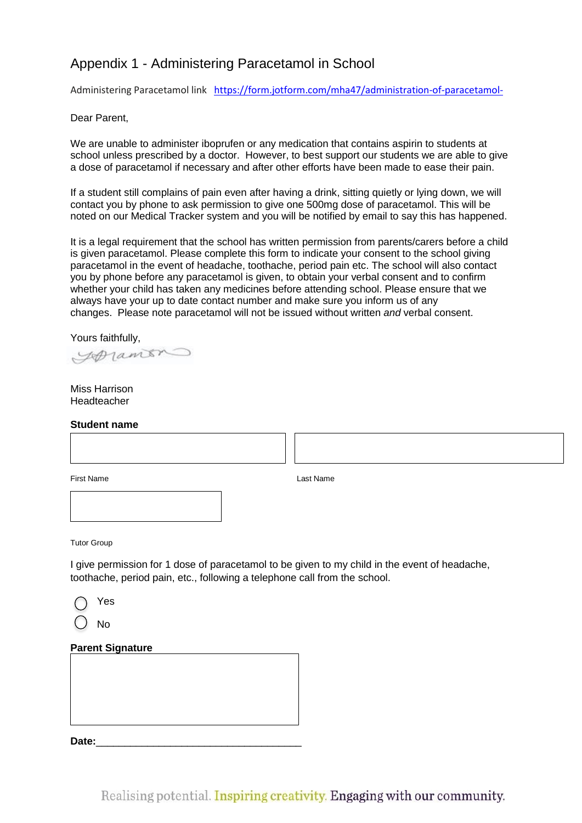## <span id="page-10-1"></span><span id="page-10-0"></span>Appendix 1 - Administering Paracetamol in School

Administering Paracetamol link <https://form.jotform.com/mha47/administration-of-paracetamol->

#### Dear Parent,

We are unable to administer iboprufen or any medication that contains aspirin to students at school unless prescribed by a doctor. However, to best support our students we are able to give a dose of paracetamol if necessary and after other efforts have been made to ease their pain.

If a student still complains of pain even after having a drink, sitting quietly or lying down, we will contact you by phone to ask permission to give one 500mg dose of paracetamol. This will be noted on our Medical Tracker system and you will be notified by email to say this has happened.

It is a legal requirement that the school has written permission from parents/carers before a child is given paracetamol. Please complete this form to indicate your consent to the school giving paracetamol in the event of headache, toothache, period pain etc. The school will also contact you by phone before any paracetamol is given, to obtain your verbal consent and to confirm whether your child has taken any medicines before attending school. Please ensure that we always have your up to date contact number and make sure you inform us of any changes. Please note paracetamol will not be issued without written *and* verbal consent.

Yours faithfully,

Spramon

Miss Harrison Headteacher

#### **Student name**

First Name Last Name Last Name Last Name Last Name Last Name Last Name Last Name Last Name Last Name Last Name  $\mathsf{L}$ 

 $\overline{\phantom{a}}$ 

Tutor Group

I give permission for 1 dose of paracetamol to be given to my child in the event of headache, toothache, period pain, etc., following a telephone call from the school.

| Yes |
|-----|
|     |

 $()$  No

#### **Parent Signature**

Date: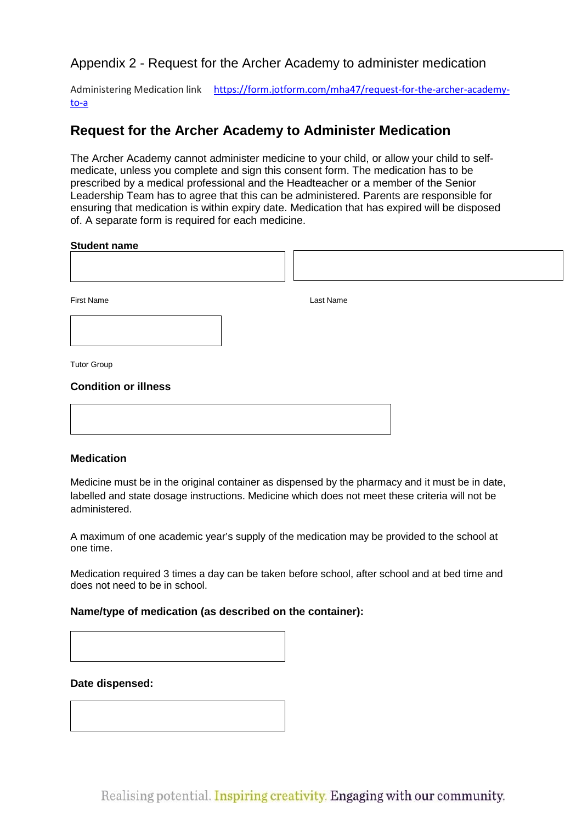<span id="page-11-0"></span>Appendix 2 - Request for the Archer Academy to administer medication

Administering Medication link [https://form.jotform.com/mha47/request-for-the-archer-academy](https://form.jotform.com/mha47/request-for-the-archer-academy-to-a)[to-a](https://form.jotform.com/mha47/request-for-the-archer-academy-to-a)

#### **Request for the Archer Academy to Administer Medication**

The Archer Academy cannot administer medicine to your child, or allow your child to selfmedicate, unless you complete and sign this consent form. The medication has to be prescribed by a medical professional and the Headteacher or a member of the Senior Leadership Team has to agree that this can be administered. Parents are responsible for ensuring that medication is within expiry date. Medication that has expired will be disposed of. A separate form is required for each medicine.

#### **Student name**

| First Name                  | Last Name |  |
|-----------------------------|-----------|--|
|                             |           |  |
| <b>Tutor Group</b>          |           |  |
| <b>Condition or illness</b> |           |  |
|                             |           |  |
|                             |           |  |

#### **Medication**

Medicine must be in the original container as dispensed by the pharmacy and it must be in date, labelled and state dosage instructions. Medicine which does not meet these criteria will not be administered.

A maximum of one academic year's supply of the medication may be provided to the school at one time.

Medication required 3 times a day can be taken before school, after school and at bed time and does not need to be in school.

#### **Name/type of medication (as described on the container):**

#### **Date dispensed:**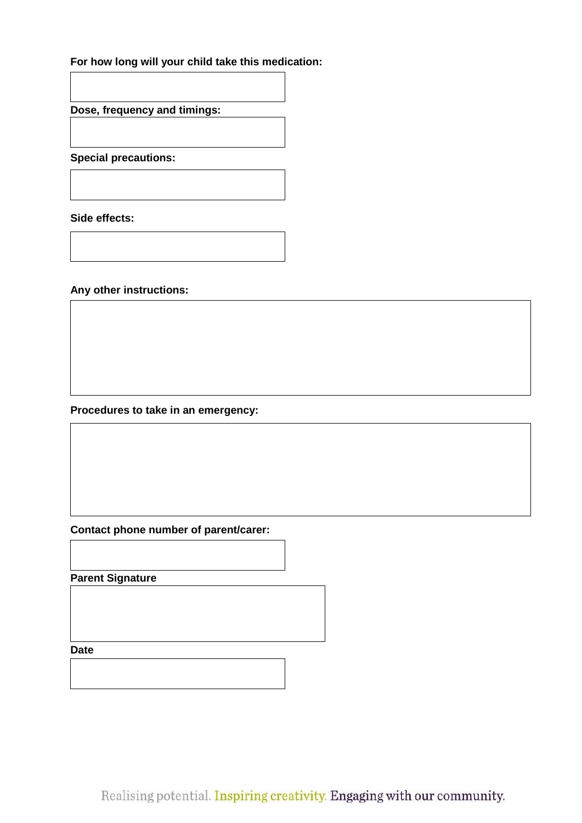#### **For how long will your child take this medication:**

**Dose, frequency and timings:**

**Special precautions:**

**Side effects:**

**Any other instructions:**

**Procedures to take in an emergency:**

**Contact phone number of parent/carer:**

**Parent Signature**

**Date**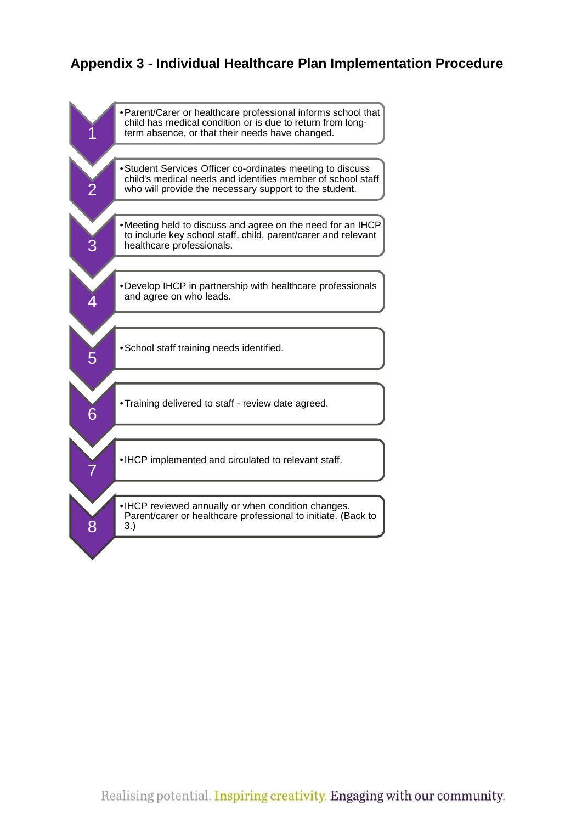### <span id="page-13-1"></span><span id="page-13-0"></span>**Appendix 3 - Individual Healthcare Plan Implementation Procedure**

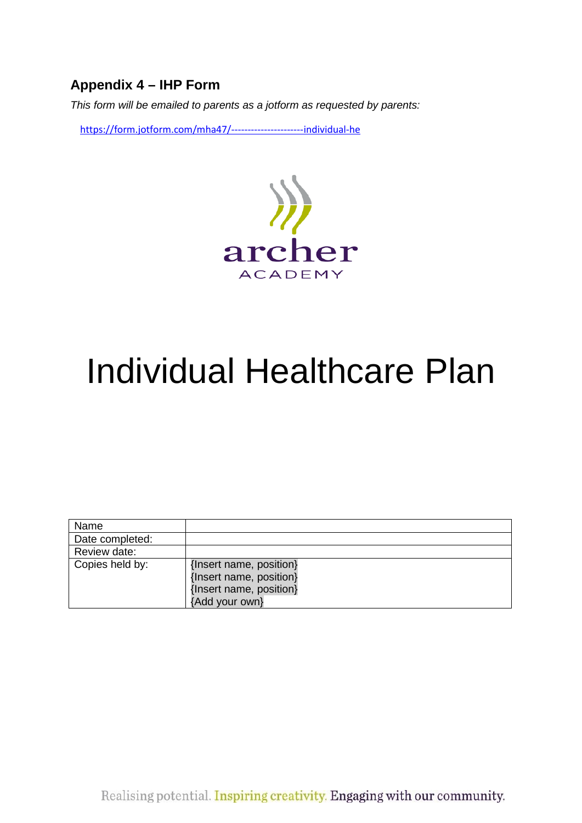## <span id="page-14-0"></span>**Appendix 4 – IHP Form**

*This form will be emailed to parents as a jotform as requested by parents:*

<https://form.jotform.com/mha47/----------------------individual-he>



# Individual Healthcare Plan

| Name            |                                                                                                 |
|-----------------|-------------------------------------------------------------------------------------------------|
| Date completed: |                                                                                                 |
| Review date:    |                                                                                                 |
| Copies held by: | {Insert name, position}<br>{Insert name, position}<br>{Insert name, position}<br>{Add your own} |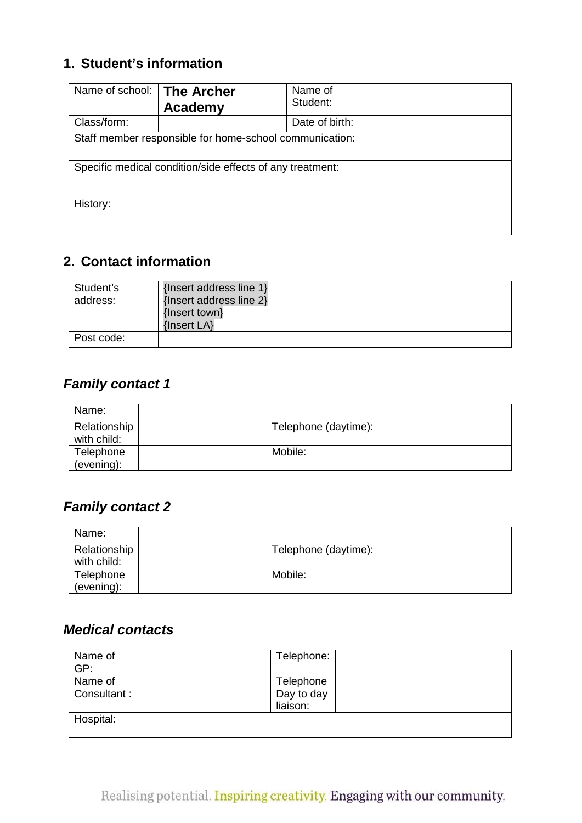## **1. Student's information**

| Name of school:                                           | <b>The Archer</b><br><b>Academy</b> | Name of<br>Student: |  |
|-----------------------------------------------------------|-------------------------------------|---------------------|--|
| Class/form:                                               |                                     | Date of birth:      |  |
| Staff member responsible for home-school communication:   |                                     |                     |  |
| Specific medical condition/side effects of any treatment: |                                     |                     |  |
| History:                                                  |                                     |                     |  |

## **2. Contact information**

| Student's<br>address: | {Insert address line 1}<br>{Insert address line 2}<br>{Insert town}<br>{Insert LA} |
|-----------------------|------------------------------------------------------------------------------------|
| Post code:            |                                                                                    |

## *Family contact 1*

| Name:                       |                      |  |
|-----------------------------|----------------------|--|
| Relationship<br>with child: | Telephone (daytime): |  |
| Telephone<br>(evening):     | Mobile:              |  |

## *Family contact 2*

| Name:                       |                      |  |
|-----------------------------|----------------------|--|
| Relationship<br>with child: | Telephone (daytime): |  |
| Telephone<br>(evening):     | Mobile:              |  |

## *Medical contacts*

| Name of<br>GP:         | Telephone:                          |
|------------------------|-------------------------------------|
| Name of<br>Consultant: | Telephone<br>Day to day<br>liaison: |
| Hospital:              |                                     |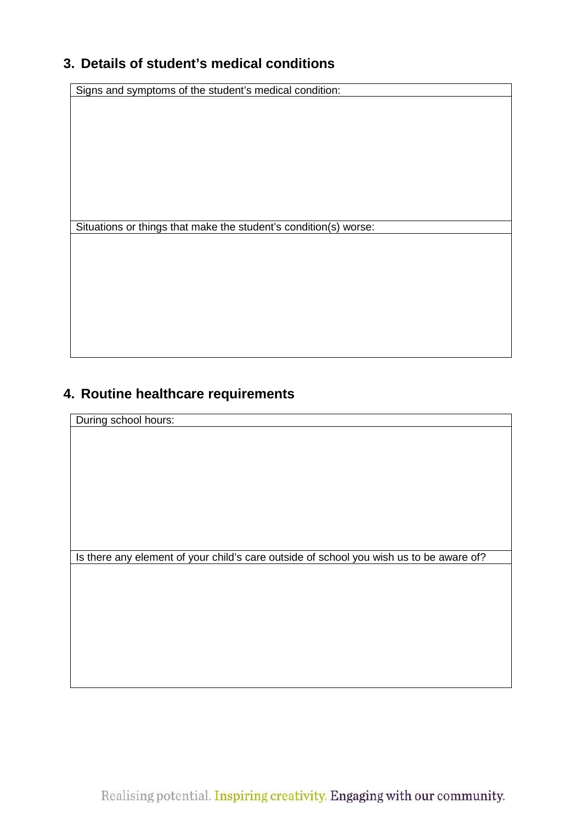## **3. Details of student's medical conditions**

Signs and symptoms of the student's medical condition:

Situations or things that make the student's condition(s) worse:

## **4. Routine healthcare requirements**

During school hours:

Is there any element of your child's care outside of school you wish us to be aware of?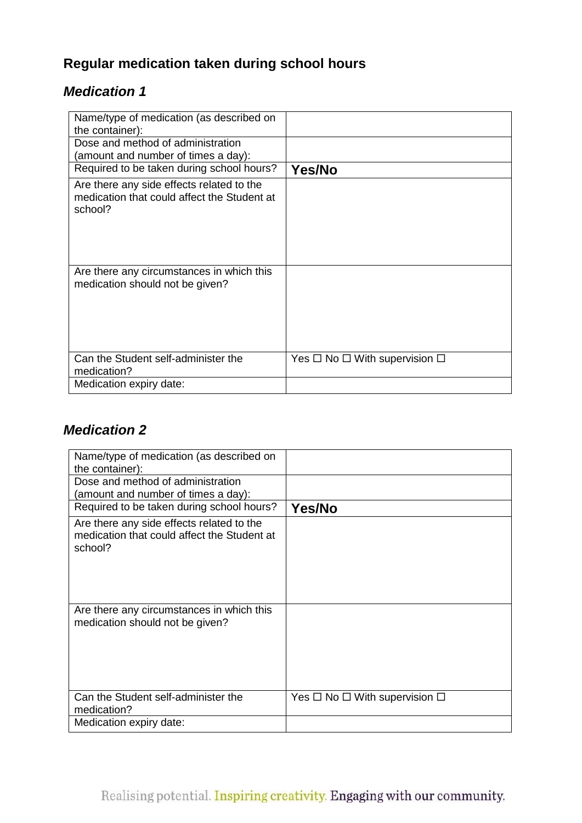## **Regular medication taken during school hours**

## *Medication 1*

| Name/type of medication (as described on<br>the container):                                         |                                              |
|-----------------------------------------------------------------------------------------------------|----------------------------------------------|
| Dose and method of administration<br>(amount and number of times a day):                            |                                              |
| Required to be taken during school hours?                                                           | <b>Yes/No</b>                                |
| Are there any side effects related to the<br>medication that could affect the Student at<br>school? |                                              |
| Are there any circumstances in which this<br>medication should not be given?                        |                                              |
| Can the Student self-administer the<br>medication?                                                  | Yes $\Box$ No $\Box$ With supervision $\Box$ |
| Medication expiry date:                                                                             |                                              |

## *Medication 2*

| Name/type of medication (as described on<br>the container):                                         |                                              |
|-----------------------------------------------------------------------------------------------------|----------------------------------------------|
| Dose and method of administration<br>(amount and number of times a day):                            |                                              |
| Required to be taken during school hours?                                                           | Yes/No                                       |
| Are there any side effects related to the<br>medication that could affect the Student at<br>school? |                                              |
| Are there any circumstances in which this<br>medication should not be given?                        |                                              |
| Can the Student self-administer the<br>medication?                                                  | Yes $\Box$ No $\Box$ With supervision $\Box$ |
| Medication expiry date:                                                                             |                                              |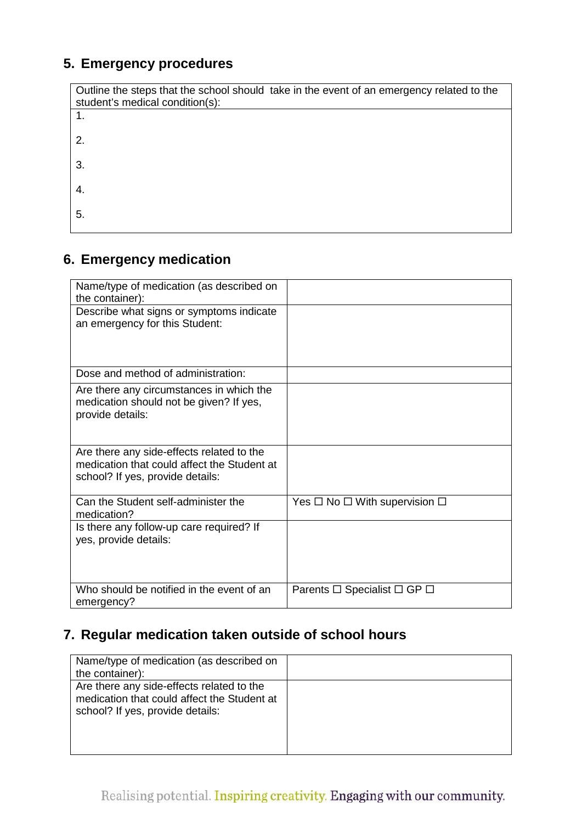## **5. Emergency procedures**

| Outline the steps that the school should take in the event of an emergency related to the<br>student's medical condition(s): |
|------------------------------------------------------------------------------------------------------------------------------|
|                                                                                                                              |
| 2.                                                                                                                           |
| 3.                                                                                                                           |
| 4.                                                                                                                           |
| 5.                                                                                                                           |

## **6. Emergency medication**

| Name/type of medication (as described on<br>the container):                                                                  |                                              |
|------------------------------------------------------------------------------------------------------------------------------|----------------------------------------------|
| Describe what signs or symptoms indicate<br>an emergency for this Student:                                                   |                                              |
| Dose and method of administration:                                                                                           |                                              |
| Are there any circumstances in which the<br>medication should not be given? If yes,<br>provide details:                      |                                              |
| Are there any side-effects related to the<br>medication that could affect the Student at<br>school? If yes, provide details: |                                              |
| Can the Student self-administer the<br>medication?                                                                           | Yes $\Box$ No $\Box$ With supervision $\Box$ |
| Is there any follow-up care required? If<br>yes, provide details:                                                            |                                              |
| Who should be notified in the event of an<br>emergency?                                                                      | Parents $\Box$ Specialist $\Box$ GP $\Box$   |

## **7. Regular medication taken outside of school hours**

| Name/type of medication (as described on<br>the container):                                                                  |  |
|------------------------------------------------------------------------------------------------------------------------------|--|
| Are there any side-effects related to the<br>medication that could affect the Student at<br>school? If yes, provide details: |  |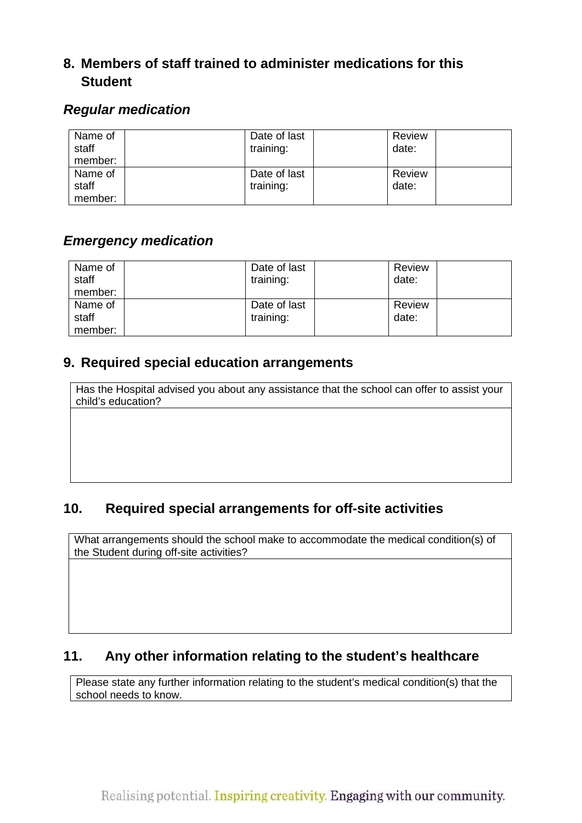## **8. Members of staff trained to administer medications for this Student**

### *Regular medication*

| Name of<br>staff<br>member: | Date of last<br>training: | Review<br>date: |  |
|-----------------------------|---------------------------|-----------------|--|
| Name of                     | Date of last              | Review          |  |
| staff                       | training:                 | date:           |  |
| member:                     |                           |                 |  |

## *Emergency medication*

| Name of<br>staff<br>member: | Date of last<br>training: | Review<br>date: |  |
|-----------------------------|---------------------------|-----------------|--|
| Name of<br>staff            | Date of last<br>training: | Review<br>date: |  |
| member:                     |                           |                 |  |

## **9. Required special education arrangements**

Has the Hospital advised you about any assistance that the school can offer to assist your child's education?

## **10. Required special arrangements for off-site activities**

What arrangements should the school make to accommodate the medical condition(s) of the Student during off-site activities?

## **11. Any other information relating to the student's healthcare**

Please state any further information relating to the student's medical condition(s) that the school needs to know.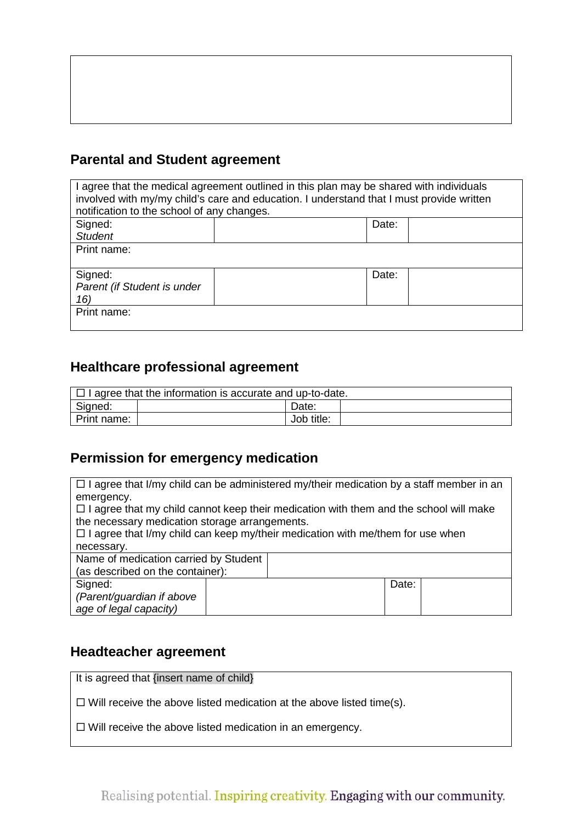## **Parental and Student agreement**

| I agree that the medical agreement outlined in this plan may be shared with individuals  |       |  |  |  |  |
|------------------------------------------------------------------------------------------|-------|--|--|--|--|
| involved with my/my child's care and education. I understand that I must provide written |       |  |  |  |  |
| notification to the school of any changes.                                               |       |  |  |  |  |
| Signed:                                                                                  | Date: |  |  |  |  |
| <b>Student</b>                                                                           |       |  |  |  |  |
| Print name:                                                                              |       |  |  |  |  |
|                                                                                          |       |  |  |  |  |
| Signed:                                                                                  | Date: |  |  |  |  |
| Parent (if Student is under                                                              |       |  |  |  |  |
| 16)                                                                                      |       |  |  |  |  |
| Print name:                                                                              |       |  |  |  |  |
|                                                                                          |       |  |  |  |  |

#### **Healthcare professional agreement**

| $\Box$ I agree that the information is accurate and up-to-date. |  |            |  |
|-----------------------------------------------------------------|--|------------|--|
| Signed:                                                         |  | Date:      |  |
| Print name:                                                     |  | Job title: |  |

#### **Permission for emergency medication**

 $\Box$  I agree that I/my child can be administered my/their medication by a staff member in an emergency.  $\Box$  I agree that my child cannot keep their medication with them and the school will make the necessary medication storage arrangements.  $\Box$  I agree that I/my child can keep my/their medication with me/them for use when necessary. Name of medication carried by Student (as described on the container): Signed: *(Parent/guardian if above age of legal capacity)* Date:

#### **Headteacher agreement**

It is agreed that {insert name of child}

 $\Box$  Will receive the above listed medication at the above listed time(s).

 $\Box$  Will receive the above listed medication in an emergency.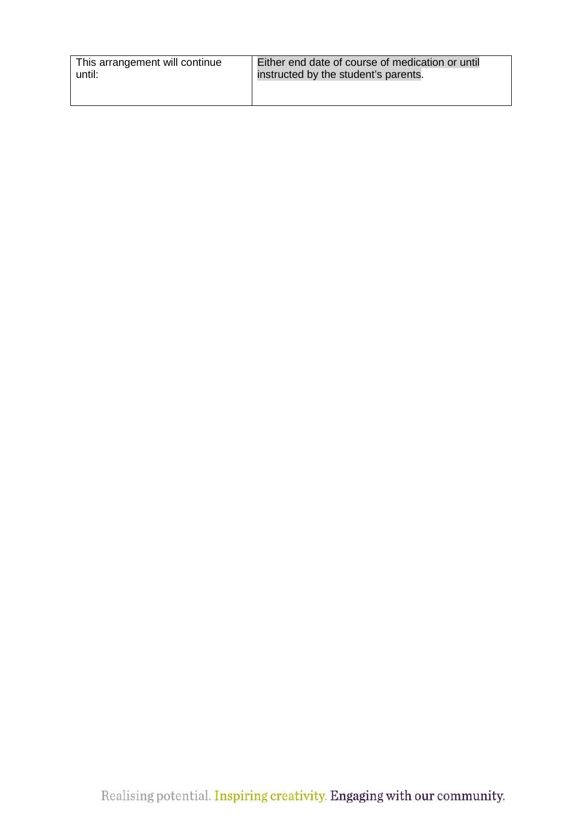| This arrangement will continue | Either end date of course of medication or until |
|--------------------------------|--------------------------------------------------|
| until:                         | instructed by the student's parents.             |
|                                |                                                  |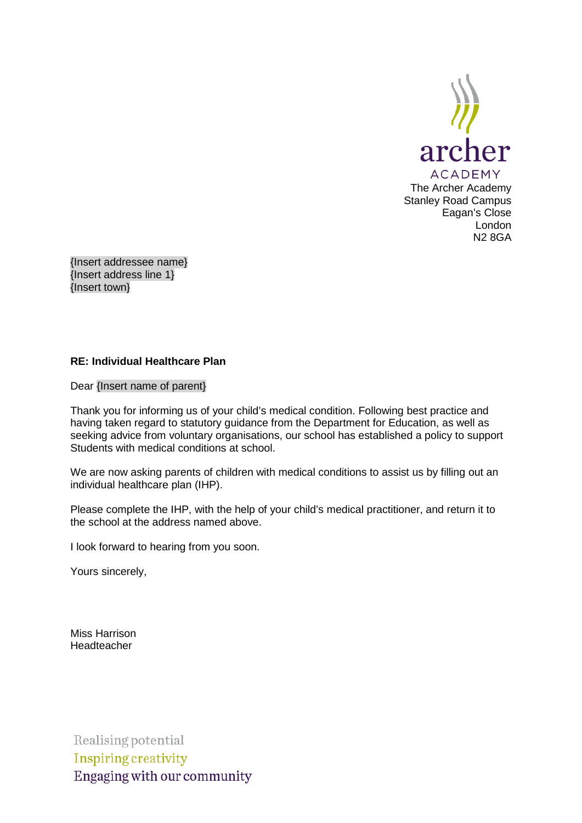

{Insert addressee name} {Insert address line 1} {Insert town}

#### **RE: Individual Healthcare Plan**

Dear {Insert name of parent}

Thank you for informing us of your child's medical condition. Following best practice and having taken regard to statutory guidance from the Department for Education, as well as seeking advice from voluntary organisations, our school has established a policy to support Students with medical conditions at school.

We are now asking parents of children with medical conditions to assist us by filling out an individual healthcare plan (IHP).

Please complete the IHP, with the help of your child's medical practitioner, and return it to the school at the address named above.

I look forward to hearing from you soon.

Yours sincerely,

Miss Harrison Headteacher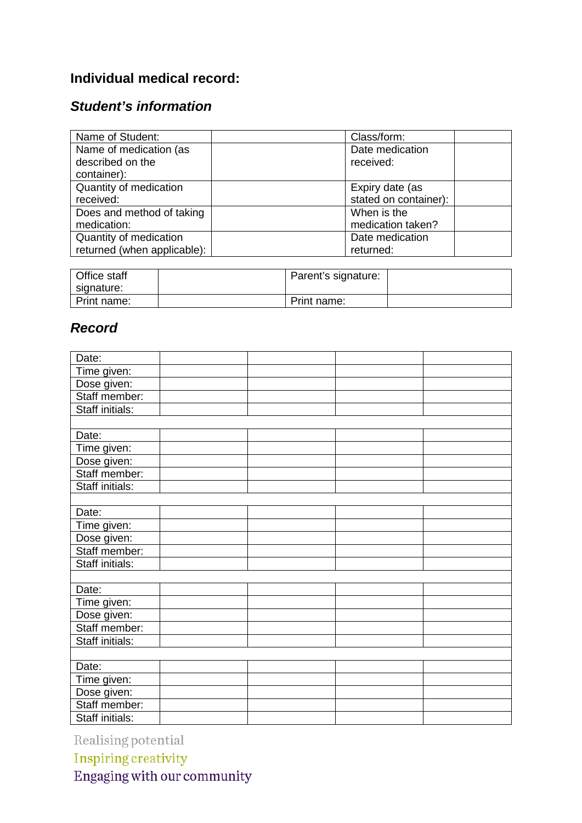## **Individual medical record:**

## *Student's information*

| Name of Student:            | Class/form:           |  |
|-----------------------------|-----------------------|--|
| Name of medication (as      | Date medication       |  |
| described on the            | received:             |  |
| container):                 |                       |  |
| Quantity of medication      | Expiry date (as       |  |
| received:                   | stated on container): |  |
| Does and method of taking   | When is the           |  |
| medication:                 | medication taken?     |  |
| Quantity of medication      | Date medication       |  |
| returned (when applicable): | returned:             |  |

| Office staff<br>signature: | Parent's signature: |  |
|----------------------------|---------------------|--|
| Print name:                | Print name:         |  |

## *Record*

| Date:                  |  |  |
|------------------------|--|--|
| Time given:            |  |  |
| Dose given:            |  |  |
| Staff member:          |  |  |
| <b>Staff initials:</b> |  |  |
|                        |  |  |
| Date:                  |  |  |
| Time given:            |  |  |
| Dose given:            |  |  |
| Staff member:          |  |  |
| <b>Staff initials:</b> |  |  |
|                        |  |  |
| Date:                  |  |  |
| Time given:            |  |  |
| Dose given:            |  |  |
| Staff member:          |  |  |
| Staff initials:        |  |  |
|                        |  |  |
| Date:                  |  |  |
| Time given:            |  |  |
| Dose given:            |  |  |
| Staff member:          |  |  |
| Staff initials:        |  |  |
|                        |  |  |
| Date:                  |  |  |
| Time given:            |  |  |
| Dose given:            |  |  |
| Staff member:          |  |  |
| Staff initials:        |  |  |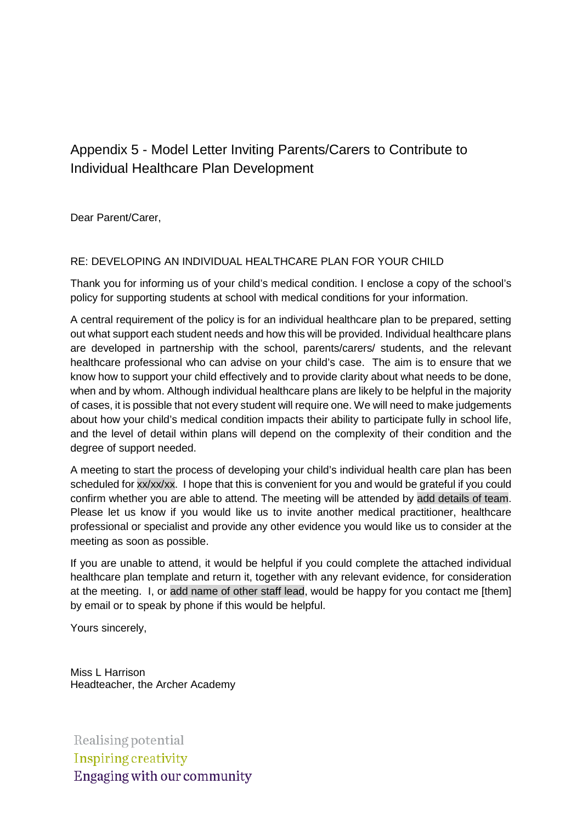## <span id="page-24-0"></span>Appendix 5 - Model Letter Inviting Parents/Carers to Contribute to Individual Healthcare Plan Development

Dear Parent/Carer,

#### RE: DEVELOPING AN INDIVIDUAL HEALTHCARE PLAN FOR YOUR CHILD

Thank you for informing us of your child's medical condition. I enclose a copy of the school's policy for supporting students at school with medical conditions for your information.

A central requirement of the policy is for an individual healthcare plan to be prepared, setting out what support each student needs and how this will be provided. Individual healthcare plans are developed in partnership with the school, parents/carers/ students, and the relevant healthcare professional who can advise on your child's case. The aim is to ensure that we know how to support your child effectively and to provide clarity about what needs to be done, when and by whom. Although individual healthcare plans are likely to be helpful in the majority of cases, it is possible that not every student will require one. We will need to make judgements about how your child's medical condition impacts their ability to participate fully in school life, and the level of detail within plans will depend on the complexity of their condition and the degree of support needed.

A meeting to start the process of developing your child's individual health care plan has been scheduled for xx/xx/xx. I hope that this is convenient for you and would be grateful if you could confirm whether you are able to attend. The meeting will be attended by add details of team. Please let us know if you would like us to invite another medical practitioner, healthcare professional or specialist and provide any other evidence you would like us to consider at the meeting as soon as possible.

If you are unable to attend, it would be helpful if you could complete the attached individual healthcare plan template and return it, together with any relevant evidence, for consideration at the meeting. I, or add name of other staff lead, would be happy for you contact me [them] by email or to speak by phone if this would be helpful.

Yours sincerely,

Miss L Harrison Headteacher, the Archer Academy